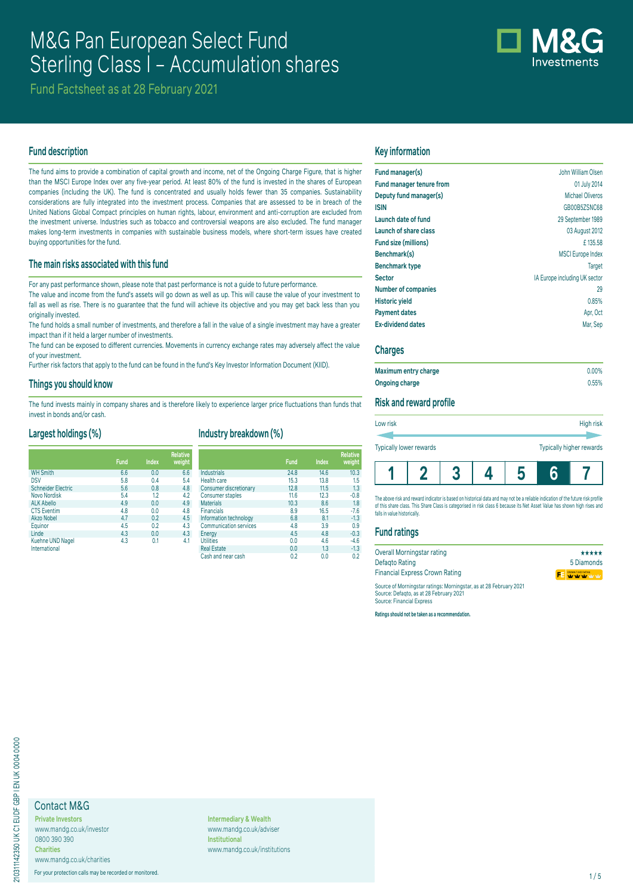# M&G Pan European Select Fund Sterling Class I - Accumulation shares



Fund Factsheet as at 28 February 2021

## **Fund description**

The fund aims to provide a combination of capital growth and income, net of the Ongoing Charge Figure, that is higher than the MSCI Europe Index over any five-year period. At least 80% of the fund is invested in the shares of European companies (including the UK). The fund is concentrated and usually holds fewer than 35 companies. Sustainability considerations are fully integrated into the investment process. Companies that are assessed to be in breach of the United Nations Global Compact principles on human rights, labour, environment and anti-corruption are excluded from the investment universe. Industries such as tobacco and controversial weapons are also excluded. The fund manager makes long-term investments in companies with sustainable business models, where short-term issues have created buying opportunities for the fund.

## **The main risks associated with this fund**

For any past performance shown, please note that past performance is not a guide to future performance.

The value and income from the fund's assets will go down as well as up. This will cause the value of your investment to fall as well as rise. There is no quarantee that the fund will achieve its objective and you may get back less than you originally invested.

The fund holds a small number of investments, and therefore a fall in the value of a single investment may have a greater impact than if it held a larger number of investments.

The fund can be exposed to different currencies. Movements in currency exchange rates may adversely affect the value of your investment.

Further risk factors that apply to the fund can be found in the fund's Key Investor Information Document (KIID).

#### **Things you should know**

The fund invests mainly in company shares and is therefore likely to experience larger price fluctuations than funds that invest in bonds and/or cash.

## **Largest holdings (%)**

|                                   | Fund | <b>Index</b> | <b>Relative</b><br>weight |
|-----------------------------------|------|--------------|---------------------------|
| <b>WH Smith</b>                   | 6.6  | 0.0          | 6.6                       |
| <b>DSV</b>                        | 5.8  | 0.4          | 5.4                       |
| <b>Schneider Electric</b>         | 5.6  | 0.8          | 4.8                       |
| Novo Nordisk                      | 5.4  | 1.2          | 4.2                       |
| <b>ALK Abello</b>                 | 4.9  | 0.0          | 4.9                       |
| <b>CTS Eventim</b>                | 4.8  | 0.0          | 4.8                       |
| Akzo Nobel                        | 4.7  | 0.2          | 4.5                       |
| Equinor                           | 4.5  | 0.2          | 4.3                       |
| Linde                             | 4.3  | 0.0          | 4.3                       |
| Kuehne UND Nagel<br>International | 4.3  | 0.1          | 4.1                       |

## **Industry breakdown (%)**

|                               | <b>Fund</b> | <b>Index</b> | <b>Relative</b><br>weight |
|-------------------------------|-------------|--------------|---------------------------|
| Industrials                   | 24.8        | 14.6         | 10.3                      |
| <b>Health care</b>            | 15.3        | 13.8         | 1.5                       |
| Consumer discretionary        | 12.8        | 11.5         | 1.3                       |
| <b>Consumer staples</b>       | 11.6        | 12.3         | $-0.8$                    |
| <b>Materials</b>              | 10.3        | 8.6          | 1.8                       |
| <b>Financials</b>             | 8.9         | 16.5         | $-7.6$                    |
| Information technology        | 6.8         | 8.1          | $-1.3$                    |
| <b>Communication services</b> | 4.8         | 3.9          | 0.9                       |
| Energy                        | 4.5         | 4.8          | $-0.3$                    |
| <b>Utilities</b>              | 0.0         | 4.6          | $-4.6$                    |
| <b>Real Estate</b>            | 0.0         | 1.3          | $-1.3$                    |
| Cash and near cash            | 0.2         | 0.0          | 0.2                       |

## **Key information**

| Fund manager(s)                 | John William Olsen            |
|---------------------------------|-------------------------------|
| <b>Fund manager tenure from</b> | 01 July 2014                  |
| Deputy fund manager(s)          | Michael Oliveros              |
| <b>ISIN</b>                     | GB00B5ZSNC68                  |
| Launch date of fund             | 29 September 1989             |
| Launch of share class           | 03 August 2012                |
| Fund size (millions)            | £135.58                       |
| Benchmark(s)                    | <b>MSCI</b> Europe Index      |
| <b>Benchmark type</b>           | Target                        |
| <b>Sector</b>                   | IA Europe including UK sector |
| <b>Number of companies</b>      | 29                            |
| <b>Historic yield</b>           | 0.85%                         |
| <b>Payment dates</b>            | Apr, Oct                      |
| <b>Ex-dividend dates</b>        | Mar. Sep                      |

## **Charges**

| Maximum entry charge | $0.00\%$ |
|----------------------|----------|
| Ongoing charge       | 0.55%    |

#### **Risk and reward profile**

| Low risk                | High risk                |
|-------------------------|--------------------------|
|                         |                          |
| Typically lower rewards | Typically higher rewards |
|                         |                          |

The above risk and reward indicator is based on historical data and may not be a reliable indication of the future risk profile of this share class. This Share Class is categorised in risk class 6 because its Net Asset Value has shown high rises and falls in value historically

**1 2 3 4 5 6 7**

### **Fund ratings**

| Overall Morningstar rating                                                                                   | *****         |
|--------------------------------------------------------------------------------------------------------------|---------------|
| Defagto Rating                                                                                               | 5 Diamonds    |
| <b>Financial Express Crown Rating</b>                                                                        | FE WY W W W W |
| Source of Morningstar ratings: Morningstar, as at 28 February 2021<br>Course: Defects as at 20 Eshruani 2021 |               |

Source: Defaqto, as at 28 February 2021 Source: Financial Express

**Ratings should not be taken as a recommendation.**

## Contact M&G

**Private Investors** www.mandg.co.uk/investor 0800 390 390 **Charities** www.mandg.co.uk/charities

For your protection calls may be recorded or monitored. 1/5

**Intermediary & Wealth** www.mandg.co.uk/adviser **Institutional** www.mandg.co.uk/institutions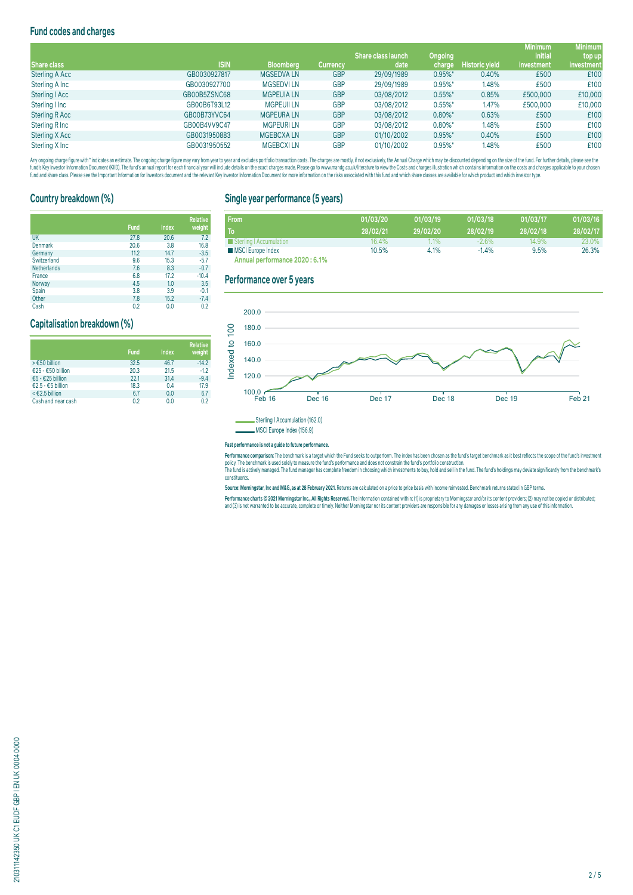## **Fund codes and charges**

|                       |              |                   |                 |                           |            |                       | <b>Minimum</b> | <b>Minimum</b> |
|-----------------------|--------------|-------------------|-----------------|---------------------------|------------|-----------------------|----------------|----------------|
|                       |              |                   |                 | <b>Share class launch</b> | Ongoing    |                       | <i>initial</i> | top up         |
| Share class           | <b>ISIN</b>  | <b>Bloomberg</b>  | <b>Currency</b> | date                      | charge     | <b>Historic yield</b> | investment     | investment     |
| <b>Sterling A Acc</b> | GB0030927817 | <b>MGSEDVALN</b>  | <b>GBP</b>      | 29/09/1989                | $0.95\%$ * | 0.40%                 | £500           | £100           |
| Sterling A Inc        | GB0030927700 | <b>MGSEDVILN</b>  | <b>GBP</b>      | 29/09/1989                | $0.95\%$ * | 1.48%                 | £500           | £100           |
| Sterling   Acc        | GB00B5ZSNC68 | <b>MGPEUIA LN</b> | <b>GBP</b>      | 03/08/2012                | $0.55\%$ * | 0.85%                 | £500,000       | £10,000        |
| Sterling I Inc        | GB00B6T93L12 | <b>MGPEUII LN</b> | <b>GBP</b>      | 03/08/2012                | $0.55\%$ * | 1.47%                 | £500,000       | £10,000        |
| <b>Sterling R Acc</b> | GB00B73YVC64 | <b>MGPEURALN</b>  | <b>GBP</b>      | 03/08/2012                | $0.80\%$ * | 0.63%                 | £500           | £100           |
| Sterling R Inc        | GB00B4VV9C47 | <b>MGPEURILN</b>  | <b>GBP</b>      | 03/08/2012                | $0.80\%$ * | 1.48%                 | £500           | £100           |
| Sterling X Acc        | GB0031950883 | <b>MGEBCXALN</b>  | <b>GBP</b>      | 01/10/2002                | $0.95\%$ * | 0.40%                 | £500           | £100           |
| Sterling X Inc        | GB0031950552 | <b>MGEBCXILN</b>  | <b>GBP</b>      | 01/10/2002                | $0.95\%$ * | 1.48%                 | £500           | £100           |

Any organism and the man and the manual manual manual manual manual manual manual manual manual manual manual manual manual manual manual manual manual manual manual manual manual manual manual manual manual manual manual fund and share class. Please see the Important Information for Investors document and the relevant Key Investor Information Document for more information on the risks associated with this fund and which share classes are a

## **Country breakdown (%)**

|                    | <b>Fund</b> | <b>Index</b> | <b>Relative</b><br>weight |
|--------------------|-------------|--------------|---------------------------|
| UK                 | 27.8        | 20.6         | 7.2                       |
| Denmark            | 20.6        | 3.8          | 16.8                      |
| Germany            | 11.2        | 14.7         | $-3.5$                    |
| Switzerland        | 9.6         | 15.3         | $-5.7$                    |
| <b>Netherlands</b> | 7.6         | 8.3          | $-0.7$                    |
| France             | 6.8         | 17.2         | $-10.4$                   |
| Norway             | 4.5         | 1.0          | 3.5                       |
| Spain              | 3.8         | 3.9          | $-0.1$                    |
| Other              | 7.8         | 15.2         | $-7.4$                    |

Cash 0.2 0.0 0.2

## **Capitalisation breakdown (%)**

|                    | <b>Fund</b> | Index | <b>Relative</b><br>weight |
|--------------------|-------------|-------|---------------------------|
| > €50 billion      | 32.5        | 46.7  | $-14.2$                   |
| €25 - €50 billion  | 20.3        | 21.5  | $-1.2$                    |
| €5 - €25 billion   | 22.1        | 31.4  | $-9.4$                    |
| €2.5 - €5 billion  | 18.3        | 0.4   | 17.9                      |
| < €2.5 billion     | 6.7         | 0.0   | 6.7                       |
| Cash and near cash | 0.2         | 0.0   | 02                        |

## **Single year performance (5 years)**

| From                           | 01/03/20 | 01/03/19 | 01/03/18 | 01/03/17 | 01/03/16 |
|--------------------------------|----------|----------|----------|----------|----------|
| To                             | 28/02/21 | 29/02/20 | 28/02/19 | 28/02/18 | 28/02/17 |
| Sterling   Accumulation        | 16.4%    | $1.1\%$  | $-2.6%$  | 14.9%    | 23.0%    |
| <b>MSCI Europe Index</b>       | 10.5%    | 4.1%     | $-1.4%$  | 9.5%     | 26.3%    |
| Annual performance 2020 : 6.1% |          |          |          |          |          |

### **Performance over 5 years**



MSCI Europe Index (156.9)

#### **Past performance is not a guide to future performance.**

rerrormance comparison: The benchmark is a target which the Thing season outperform. The modern as the personal man and the modern and the statement was it of the statement of the statement of the statement of the statemen

constituents.

**Source: Morningstar, Inc and M&G, as at 28 February 2021.** Returns are calculated on a price to price basis with income reinvested. Benchmark returns stated in GBP terms.

Performance charts © 2021 Morningstar Inc., All Rights Reserved. The information contained within: (1) is proprietary to Morningstar and/or its content providers; (2) may not be copied or distributed; and (3) is not warranted to be accurate, complete or timely. Neither Morningstar nor its content providers are responsible for any damages or losses arising from any use of this information.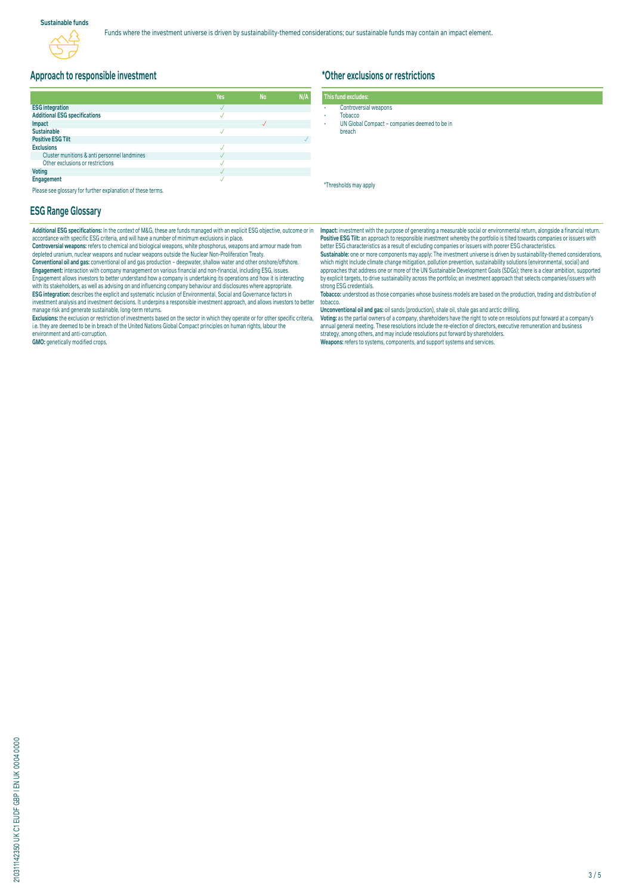## **Approach to responsible investment**

|                                              | <b>Yes</b> | <b>No</b> | N/A |
|----------------------------------------------|------------|-----------|-----|
| <b>ESG</b> integration                       |            |           |     |
| <b>Additional ESG specifications</b>         |            |           |     |
| Impact                                       |            |           |     |
| <b>Sustainable</b>                           |            |           |     |
| <b>Positive ESG Tilt</b>                     |            |           |     |
| <b>Exclusions</b>                            |            |           |     |
| Cluster munitions & anti personnel landmines |            |           |     |
| Other exclusions or restrictions             |            |           |     |
| <b>Voting</b>                                |            |           |     |
| Engagement                                   |            |           |     |

Please see glossary for further explanation of these terms.

#### **ESG Range Glossary**

**Additional ESG specifications:** In the context of M&G, these are funds managed with an explicit ESG objective, outcome or in accordance with specific ESG criteria, and will have a number of minimum exclusions in place.

**Controversial weapons:** refers to chemical and biological weapons, white phosphorus, weapons and armour made from depleted uranium, nuclear weapons and nuclear weapons outside the Nuclear Non-Proliferation Treaty. **Conventional oil and gas:** conventional oil and gas production – deepwater, shallow water and other onshore/offshore. **Engagement:** Interaction with company management on various financial and non-financial, including ESG, issues.<br>Engagement allows investors to better understand how a company is undertaking its operations and how it is in with its stakeholders, as well as advising on and influencing company behaviour and disclosures where appropriate. **ESG integration:** describes the explicit and systematic inclusion of Environmental, Social and Governance factors in<br>investment analysis and investment decisions. It underpins a responsible investment approach, and allows manage risk and generate sustainable, long-term returns.

Exclusions: the exclusion or restriction of investments based on the sector in which they operate or for other specific criteria,<br>i.e. they are deemed to be in breach of the United Nations Global Compact principles on huma environment and anti-corruption.

**GMO:** genetically modified crops.

## **\*Other exclusions or restrictions**

|  | This fund excludes: |  |  |
|--|---------------------|--|--|
|  |                     |  |  |

- Controversial weapons **Tobacco**
- UN Global Compact companies deemed to be in
- breach

\*Thresholds may apply

**Impact:** investment with the purpose of generating a measurable social or environmental return, alongside a financial return. **Positive ESG Tilt:** an approach to responsible investment whereby the portfolio is tilted towards companies or issuers with better ESG characteristics as a result of excluding companies or issuers with poorer ESG characteristics.<br>**Sustainable:** one or more components may apply: The investment universe is driven by sustainability-themed consider

which might include climate change mitigation, pollution prevention, sustainability solutions (environmental, social) and approaches that address one or more of the UN Sustainable Development Goals (SDGs); there is a clear ambition, supported by explicit targets, to drive sustainability across the portfolio; an investment approach that selects companies/issuers with strong ESG credentials.

**Tobacco:** understood as those companies whose business models are based on the production, trading and distribution of tobacco.

**Unconventional oil and gas:** oil sands (production), shale oil, shale gas and arctic drilling.

**voting:** as the partial owners of a company, snareholders have the right to vote on resolutions put forward at a company's<br>annual general meeting. These resolutions include the re-election of directors, executive remunera strategy, among others, and may include resolutions put forward by shareholders. **Weapons:** refers to systems, components, and support systems and services.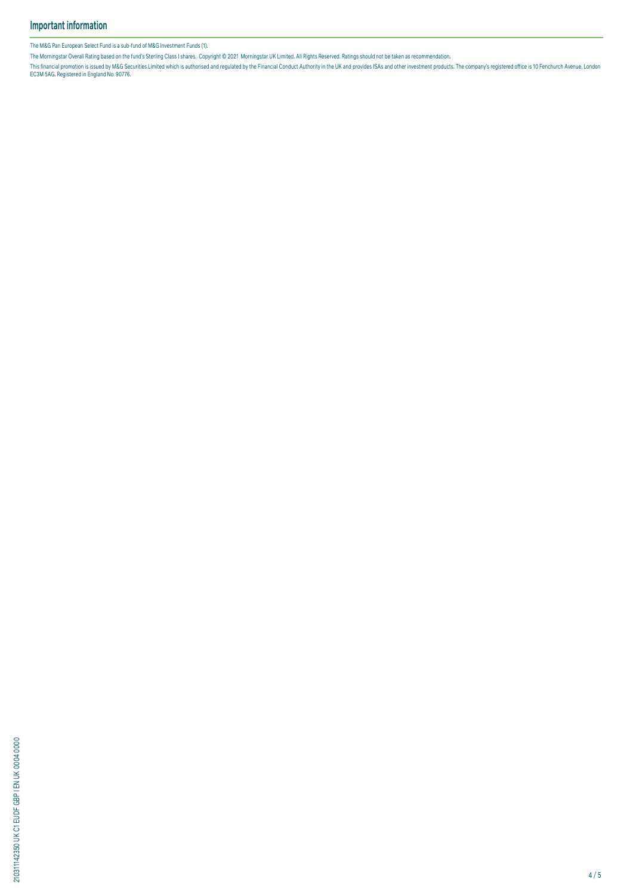The M&G Pan European Select Fund is a sub-fund of M&G Investment Funds (1).

The Morningstar Overall Rating based on the fund's Sterling Class I shares. Copyright © 2021 Morningstar UK Limited. All Rights Reserved. Ratings should not be taken as recommendation.

This financial promotion is issued by M&G Securities Limited which is authorised and regulated by the Financial Conduct Authority in the UK and provides ISAS and other investment products. The company's registered office i

210311142350 UK C1 EUDF GBP I EN UK 0004 0000 210311142350 UK C1 EUDF GBP I EN UK 0004 0000